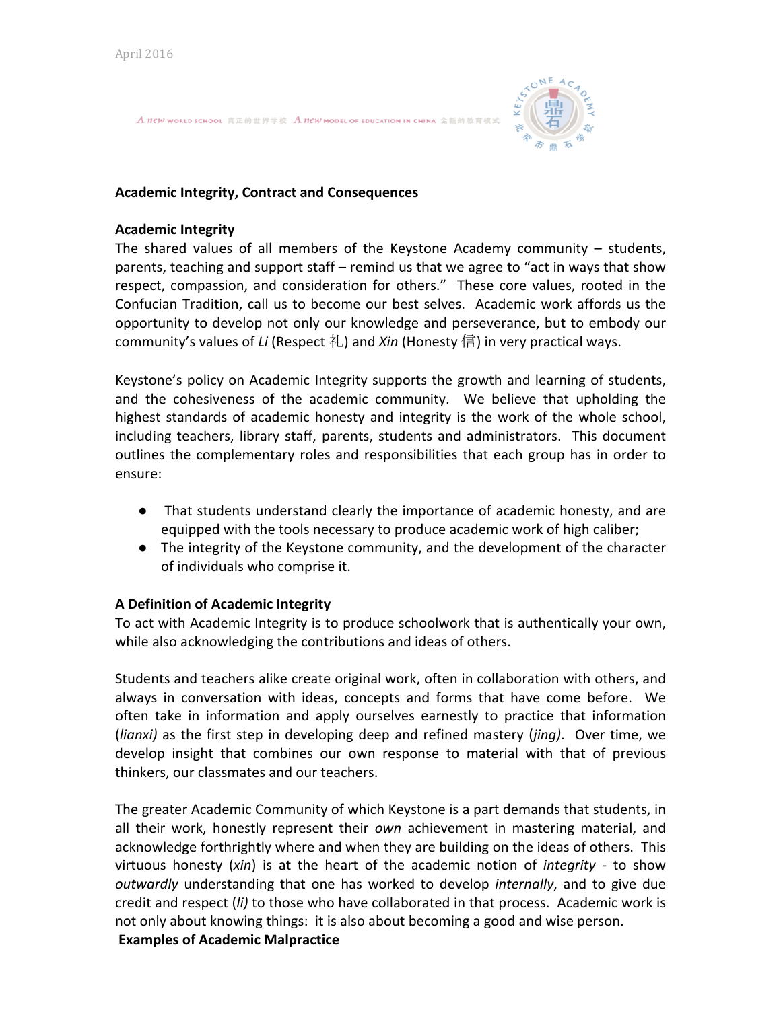A new world school 真正的世界学校 A new model of Education in China 全新的教育模式

#### **Academic Integrity, Contract and Consequences**

#### **Academic Integrity**

The shared values of all members of the Keystone Academy community  $-$  students, parents, teaching and support staff – remind us that we agree to "act in ways that show respect, compassion, and consideration for others." These core values, rooted in the Confucian Tradition, call us to become our best selves. Academic work affords us the opportunity to develop not only our knowledge and perseverance, but to embody our community's values of Li (Respect 礼) and *Xin* (Honesty 信) in very practical ways.

Keystone's policy on Academic Integrity supports the growth and learning of students, and the cohesiveness of the academic community. We believe that upholding the highest standards of academic honesty and integrity is the work of the whole school, including teachers, library staff, parents, students and administrators. This document outlines the complementary roles and responsibilities that each group has in order to ensure:

- That students understand clearly the importance of academic honesty, and are equipped with the tools necessary to produce academic work of high caliber;
- The integrity of the Keystone community, and the development of the character of individuals who comprise it.

# **A Definition of Academic Integrity**

To act with Academic Integrity is to produce schoolwork that is authentically your own, while also acknowledging the contributions and ideas of others.

Students and teachers alike create original work, often in collaboration with others, and always in conversation with ideas, concepts and forms that have come before. We often take in information and apply ourselves earnestly to practice that information (*lianxi*) as the first step in developing deep and refined mastery (*jing*). Over time, we develop insight that combines our own response to material with that of previous thinkers, our classmates and our teachers.

The greater Academic Community of which Keystone is a part demands that students, in all their work, honestly represent their *own* achievement in mastering material, and acknowledge forthrightly where and when they are building on the ideas of others. This virtuous honesty (*xin*) is at the heart of the academic notion of *integrity* - to show *outwardly* understanding that one has worked to develop *internally*, and to give due credit and respect (*li*) to those who have collaborated in that process. Academic work is not only about knowing things: it is also about becoming a good and wise person. **Examples of Academic Malpractice**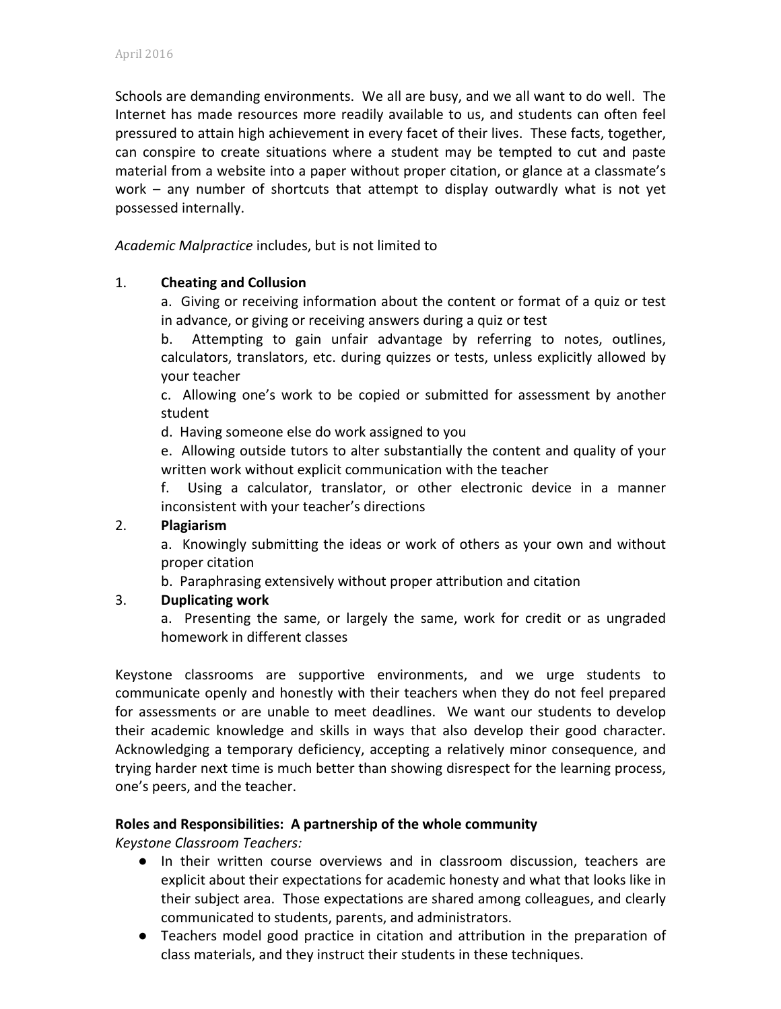Schools are demanding environments. We all are busy, and we all want to do well. The Internet has made resources more readily available to us, and students can often feel pressured to attain high achievement in every facet of their lives. These facts, together, can conspire to create situations where a student may be tempted to cut and paste material from a website into a paper without proper citation, or glance at a classmate's work  $-$  any number of shortcuts that attempt to display outwardly what is not yet possessed internally.

## Academic Malpractice includes, but is not limited to

## 1. **Cheating and Collusion**

a. Giving or receiving information about the content or format of a quiz or test in advance, or giving or receiving answers during a quiz or test

b. Attempting to gain unfair advantage by referring to notes, outlines, calculators, translators, etc. during quizzes or tests, unless explicitly allowed by your teacher

c. Allowing one's work to be copied or submitted for assessment by another student

d. Having someone else do work assigned to you

e. Allowing outside tutors to alter substantially the content and quality of your written work without explicit communication with the teacher

f. Using a calculator, translator, or other electronic device in a manner inconsistent with your teacher's directions

#### 2. **Plagiarism**

a. Knowingly submitting the ideas or work of others as your own and without proper citation

b. Paraphrasing extensively without proper attribution and citation

#### 3. **Duplicating work**

a. Presenting the same, or largely the same, work for credit or as ungraded homework in different classes

Keystone classrooms are supportive environments, and we urge students to communicate openly and honestly with their teachers when they do not feel prepared for assessments or are unable to meet deadlines. We want our students to develop their academic knowledge and skills in ways that also develop their good character. Acknowledging a temporary deficiency, accepting a relatively minor consequence, and trying harder next time is much better than showing disrespect for the learning process, one's peers, and the teacher.

#### **Roles and Responsibilities: A partnership of the whole community**

*Keystone Classroom Teachers:*

- In their written course overviews and in classroom discussion, teachers are explicit about their expectations for academic honesty and what that looks like in their subject area. Those expectations are shared among colleagues, and clearly communicated to students, parents, and administrators.
- Teachers model good practice in citation and attribution in the preparation of class materials, and they instruct their students in these techniques.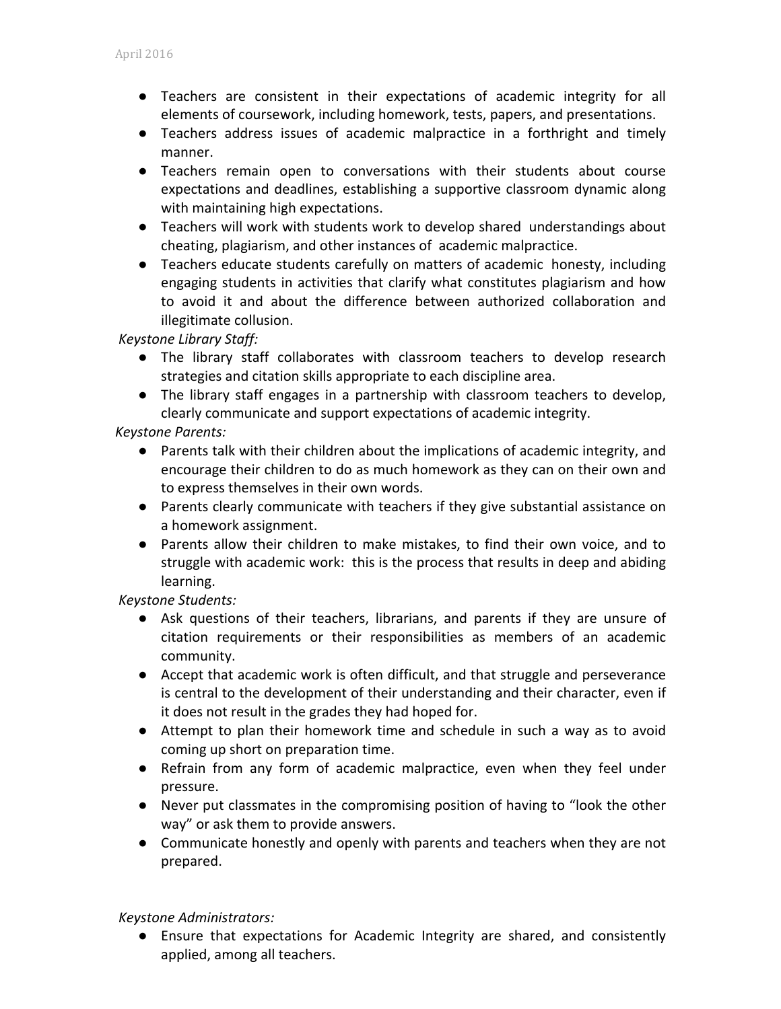- Teachers are consistent in their expectations of academic integrity for all elements of coursework, including homework, tests, papers, and presentations.
- Teachers address issues of academic malpractice in a forthright and timely manner.
- Teachers remain open to conversations with their students about course expectations and deadlines, establishing a supportive classroom dynamic along with maintaining high expectations.
- Teachers will work with students work to develop shared understandings about cheating, plagiarism, and other instances of academic malpractice.
- Teachers educate students carefully on matters of academic honesty, including engaging students in activities that clarify what constitutes plagiarism and how to avoid it and about the difference between authorized collaboration and illegitimate collusion.

*Keystone Library Staff:* 

- The library staff collaborates with classroom teachers to develop research strategies and citation skills appropriate to each discipline area.
- The library staff engages in a partnership with classroom teachers to develop, clearly communicate and support expectations of academic integrity.

*Keystone Parents:* 

- Parents talk with their children about the implications of academic integrity, and encourage their children to do as much homework as they can on their own and to express themselves in their own words.
- Parents clearly communicate with teachers if they give substantial assistance on a homework assignment.
- Parents allow their children to make mistakes, to find their own voice, and to struggle with academic work: this is the process that results in deep and abiding learning.

*Keystone Students:*

- Ask questions of their teachers, librarians, and parents if they are unsure of citation requirements or their responsibilities as members of an academic community.
- Accept that academic work is often difficult, and that struggle and perseverance is central to the development of their understanding and their character, even if it does not result in the grades they had hoped for.
- Attempt to plan their homework time and schedule in such a way as to avoid coming up short on preparation time.
- Refrain from any form of academic malpractice, even when they feel under pressure.
- Never put classmates in the compromising position of having to "look the other way" or ask them to provide answers.
- Communicate honestly and openly with parents and teachers when they are not prepared.

*Keystone Administrators:*

• Ensure that expectations for Academic Integrity are shared, and consistently applied, among all teachers.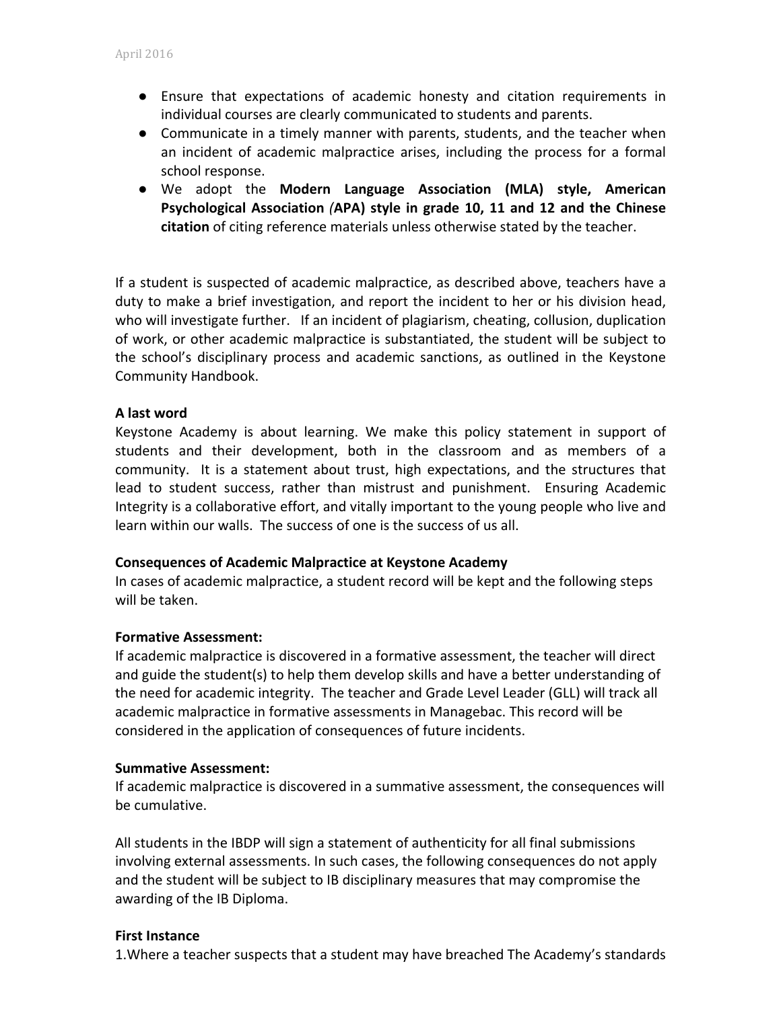- Ensure that expectations of academic honesty and citation requirements in individual courses are clearly communicated to students and parents.
- Communicate in a timely manner with parents, students, and the teacher when an incident of academic malpractice arises, including the process for a formal school response.
- We adopt the **Modern Language Association (MLA) style, American Psychological Association** *(APA)* **style in grade 10, 11 and 12 and the Chinese** citation of citing reference materials unless otherwise stated by the teacher.

If a student is suspected of academic malpractice, as described above, teachers have a duty to make a brief investigation, and report the incident to her or his division head, who will investigate further. If an incident of plagiarism, cheating, collusion, duplication of work, or other academic malpractice is substantiated, the student will be subject to the school's disciplinary process and academic sanctions, as outlined in the Keystone Community Handbook.

## **A last word**

Keystone Academy is about learning. We make this policy statement in support of students and their development, both in the classroom and as members of a community. It is a statement about trust, high expectations, and the structures that lead to student success, rather than mistrust and punishment. Ensuring Academic Integrity is a collaborative effort, and vitally important to the young people who live and learn within our walls. The success of one is the success of us all.

#### **Consequences of Academic Malpractice at Keystone Academy**

In cases of academic malpractice, a student record will be kept and the following steps will be taken.

#### **Formative Assessment:**

If academic malpractice is discovered in a formative assessment, the teacher will direct and guide the student(s) to help them develop skills and have a better understanding of the need for academic integrity. The teacher and Grade Level Leader (GLL) will track all academic malpractice in formative assessments in Managebac. This record will be considered in the application of consequences of future incidents.

#### **Summative Assessment:**

If academic malpractice is discovered in a summative assessment, the consequences will be cumulative.

All students in the IBDP will sign a statement of authenticity for all final submissions involving external assessments. In such cases, the following consequences do not apply and the student will be subject to IB disciplinary measures that may compromise the awarding of the IB Diploma.

#### **First Instance**

1. Where a teacher suspects that a student may have breached The Academy's standards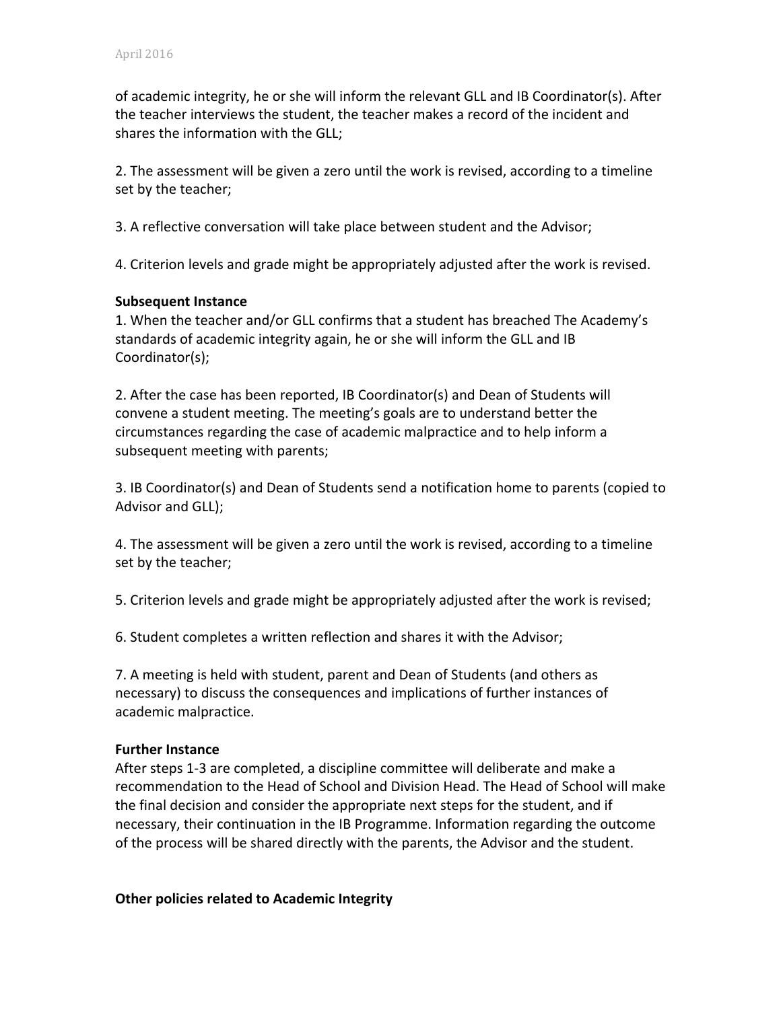of academic integrity, he or she will inform the relevant GLL and IB Coordinator(s). After the teacher interviews the student, the teacher makes a record of the incident and shares the information with the GLL;

2. The assessment will be given a zero until the work is revised, according to a timeline set by the teacher;

3. A reflective conversation will take place between student and the Advisor;

4. Criterion levels and grade might be appropriately adjusted after the work is revised.

#### **Subsequent Instance**

1. When the teacher and/or GLL confirms that a student has breached The Academy's standards of academic integrity again, he or she will inform the GLL and IB Coordinator(s);

2. After the case has been reported, IB Coordinator(s) and Dean of Students will convene a student meeting. The meeting's goals are to understand better the circumstances regarding the case of academic malpractice and to help inform a subsequent meeting with parents;

3. IB Coordinator(s) and Dean of Students send a notification home to parents (copied to Advisor and GLL);

4. The assessment will be given a zero until the work is revised, according to a timeline set by the teacher;

5. Criterion levels and grade might be appropriately adjusted after the work is revised;

6. Student completes a written reflection and shares it with the Advisor;

7. A meeting is held with student, parent and Dean of Students (and others as necessary) to discuss the consequences and implications of further instances of academic malpractice.

#### **Further Instance**

After steps 1-3 are completed, a discipline committee will deliberate and make a recommendation to the Head of School and Division Head. The Head of School will make the final decision and consider the appropriate next steps for the student, and if necessary, their continuation in the IB Programme. Information regarding the outcome of the process will be shared directly with the parents, the Advisor and the student.

#### **Other policies related to Academic Integrity**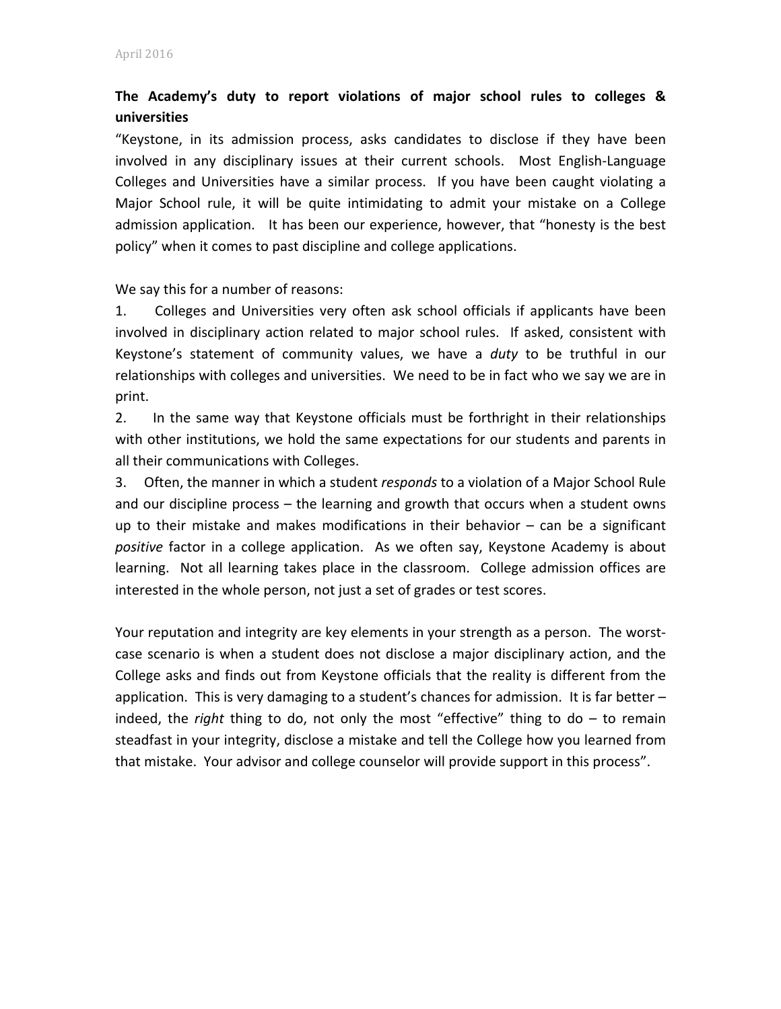# The Academy's duty to report violations of major school rules to colleges & **universities**

"Keystone, in its admission process, asks candidates to disclose if they have been involved in any disciplinary issues at their current schools. Most English-Language Colleges and Universities have a similar process. If you have been caught violating a Major School rule, it will be quite intimidating to admit your mistake on a College admission application. It has been our experience, however, that "honesty is the best policy" when it comes to past discipline and college applications.

We say this for a number of reasons:

1. Colleges and Universities very often ask school officials if applicants have been involved in disciplinary action related to major school rules. If asked, consistent with Keystone's statement of community values, we have a *duty* to be truthful in our relationships with colleges and universities. We need to be in fact who we say we are in print.

2. In the same way that Keystone officials must be forthright in their relationships with other institutions, we hold the same expectations for our students and parents in all their communications with Colleges.

3. Often, the manner in which a student *responds* to a violation of a Major School Rule and our discipline process  $-$  the learning and growth that occurs when a student owns up to their mistake and makes modifications in their behavior  $-$  can be a significant positive factor in a college application. As we often say, Keystone Academy is about learning. Not all learning takes place in the classroom. College admission offices are interested in the whole person, not just a set of grades or test scores.

Your reputation and integrity are key elements in your strength as a person. The worstcase scenario is when a student does not disclose a major disciplinary action, and the College asks and finds out from Keystone officials that the reality is different from the application. This is very damaging to a student's chances for admission. It is far better  $$ indeed, the *right* thing to do, not only the most "effective" thing to do  $-$  to remain steadfast in your integrity, disclose a mistake and tell the College how you learned from that mistake. Your advisor and college counselor will provide support in this process".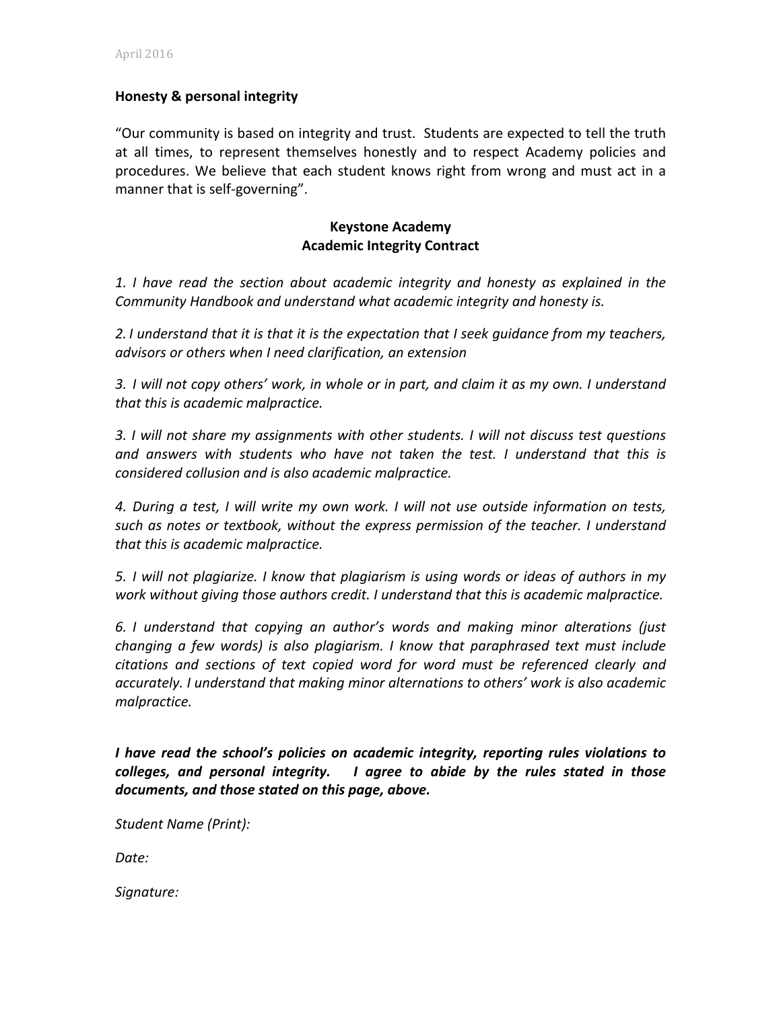#### **Honesty & personal integrity**

"Our community is based on integrity and trust. Students are expected to tell the truth at all times, to represent themselves honestly and to respect Academy policies and procedures. We believe that each student knows right from wrong and must act in a manner that is self-governing".

## **Keystone Academy Academic Integrity Contract**

1. I have read the section about academic integrity and honesty as explained in the *Community Handbook and understand what academic integrity and honesty is.* 

2. *I* understand that it is that it is the expectation that I seek quidance from my teachers, advisors or others when I need clarification, an extension

*3. I* will not copy others' work, in whole or in part, and claim it as my own. I understand *that this is academic malpractice.* 

3. I will not share my assignments with other students. I will not discuss test questions and answers with students who have not taken the test. I understand that this is *considered collusion and is also academic malpractice.*

*4. During a test, I will write my own work. I will not use outside information on tests,*  such as notes or textbook, without the express permission of the teacher. I understand *that this is academic malpractice.* 

*5. I will not plagiarize. I know that plagiarism is using words or ideas of authors in my*  work without giving those authors credit. I understand that this is academic malpractice.

*6. I understand that copying an author's words and making minor alterations (just changing a few words)* is also plagiarism. I know that paraphrased text must include *citations and sections of text copied word for word must be referenced clearly and accurately.* I understand that making minor alternations to others' work is also academic *malpractice.* 

*I* have read the school's policies on academic integrity, reporting rules violations to *colleges, and personal integrity. I agree to abide by the rules stated in those* documents, and those stated on this page, above.

Student Name (Print):

Date:

*Signature:*